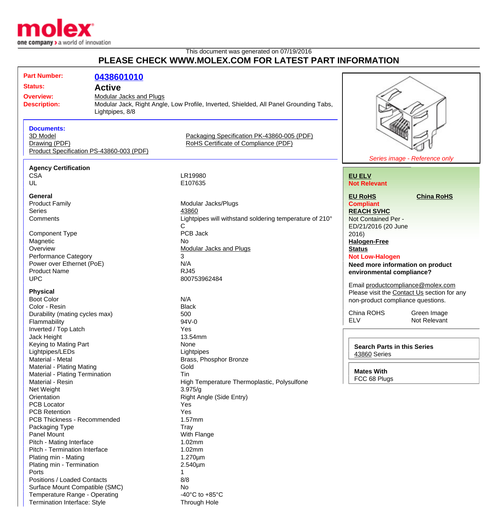

Temperature Range - Operating  $-40^{\circ}$ C to +85°C Termination Interface: Style Through Hole

## This document was generated on 07/19/2016 **PLEASE CHECK WWW.MOLEX.COM FOR LATEST PART INFORMATION**

| <b>Part Number:</b>                                                                          | 0438601010                               |                                                                                       |                                             |
|----------------------------------------------------------------------------------------------|------------------------------------------|---------------------------------------------------------------------------------------|---------------------------------------------|
| <b>Status:</b>                                                                               |                                          |                                                                                       |                                             |
| <b>Active</b>                                                                                |                                          |                                                                                       |                                             |
| <b>Overview:</b><br><b>Modular Jacks and Plugs</b><br><b>Description:</b><br>Lightpipes, 8/8 |                                          | Modular Jack, Right Angle, Low Profile, Inverted, Shielded, All Panel Grounding Tabs, |                                             |
| <b>Documents:</b>                                                                            |                                          |                                                                                       |                                             |
| 3D Model                                                                                     |                                          | Packaging Specification PK-43860-005 (PDF)                                            |                                             |
| Drawing (PDF)                                                                                |                                          | RoHS Certificate of Compliance (PDF)                                                  |                                             |
|                                                                                              | Product Specification PS-43860-003 (PDF) |                                                                                       |                                             |
|                                                                                              |                                          |                                                                                       | Series image - Reference only               |
| <b>Agency Certification</b>                                                                  |                                          |                                                                                       |                                             |
| <b>CSA</b>                                                                                   |                                          | LR19980                                                                               | <b>EU ELV</b>                               |
| UL                                                                                           |                                          | E107635                                                                               | <b>Not Relevant</b>                         |
| <b>General</b>                                                                               |                                          |                                                                                       | <b>EU RoHS</b><br><b>China RoHS</b>         |
| <b>Product Family</b>                                                                        |                                          | Modular Jacks/Plugs                                                                   | <b>Compliant</b>                            |
| <b>Series</b>                                                                                |                                          | 43860                                                                                 | <b>REACH SVHC</b>                           |
| Comments                                                                                     |                                          | Lightpipes will withstand soldering temperature of 210°                               | Not Contained Per -                         |
|                                                                                              |                                          | C                                                                                     | ED/21/2016 (20 June                         |
| <b>Component Type</b>                                                                        |                                          | PCB Jack                                                                              | 2016)                                       |
| Magnetic                                                                                     |                                          | No                                                                                    | <b>Halogen-Free</b>                         |
| Overview                                                                                     |                                          | <b>Modular Jacks and Plugs</b>                                                        | <b>Status</b>                               |
| <b>Performance Category</b>                                                                  |                                          | 3                                                                                     | <b>Not Low-Halogen</b>                      |
| Power over Ethernet (PoE)                                                                    |                                          | N/A                                                                                   | Need more information on product            |
| <b>Product Name</b>                                                                          |                                          | <b>RJ45</b>                                                                           | environmental compliance?                   |
| <b>UPC</b>                                                                                   |                                          | 800753962484                                                                          |                                             |
|                                                                                              |                                          |                                                                                       | Email productcompliance@molex.com           |
| <b>Physical</b>                                                                              |                                          |                                                                                       | Please visit the Contact Us section for any |
| <b>Boot Color</b>                                                                            |                                          | N/A                                                                                   | non-product compliance questions.           |
| Color - Resin                                                                                |                                          | <b>Black</b><br>500                                                                   | China ROHS<br>Green Image                   |
| Durability (mating cycles max)                                                               |                                          | 94V-0                                                                                 | <b>ELV</b><br>Not Relevant                  |
| Flammability<br>Inverted / Top Latch                                                         |                                          | Yes                                                                                   |                                             |
| Jack Height                                                                                  |                                          | 13.54mm                                                                               |                                             |
| Keying to Mating Part                                                                        |                                          | None                                                                                  |                                             |
| Lightpipes/LEDs                                                                              |                                          | Lightpipes                                                                            | <b>Search Parts in this Series</b>          |
| Material - Metal                                                                             |                                          | Brass, Phosphor Bronze                                                                | <b>43860 Series</b>                         |
| Material - Plating Mating                                                                    |                                          | Gold                                                                                  |                                             |
| Material - Plating Termination                                                               |                                          | Tin                                                                                   | <b>Mates With</b>                           |
| Material - Resin                                                                             |                                          | High Temperature Thermoplastic, Polysulfone                                           | FCC 68 Plugs                                |
| Net Weight                                                                                   |                                          | 3.975/g                                                                               |                                             |
| Orientation                                                                                  |                                          | Right Angle (Side Entry)                                                              |                                             |
| PCB Locator                                                                                  |                                          | Yes                                                                                   |                                             |
| <b>PCB Retention</b>                                                                         |                                          | Yes                                                                                   |                                             |
| PCB Thickness - Recommended                                                                  |                                          | 1.57mm                                                                                |                                             |
| Packaging Type                                                                               |                                          | Tray                                                                                  |                                             |
| <b>Panel Mount</b>                                                                           |                                          | With Flange                                                                           |                                             |
| Pitch - Mating Interface                                                                     |                                          | 1.02mm                                                                                |                                             |
| Pitch - Termination Interface                                                                |                                          | 1.02mm                                                                                |                                             |
| Plating min - Mating                                                                         |                                          | $1.270 \mu m$                                                                         |                                             |
| Plating min - Termination                                                                    |                                          | $2.540 \mu m$                                                                         |                                             |
| Ports                                                                                        |                                          | 1                                                                                     |                                             |
| Positions / Loaded Contacts                                                                  |                                          | 8/8                                                                                   |                                             |
| Surface Mount Compatible (SMC)                                                               |                                          | No                                                                                    |                                             |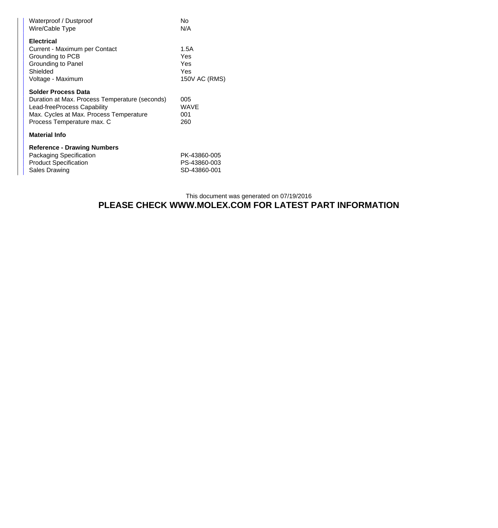| Waterproof / Dustproof<br>Wire/Cable Type                                                                                                                                            | No<br>N/A                                    |
|--------------------------------------------------------------------------------------------------------------------------------------------------------------------------------------|----------------------------------------------|
| <b>Electrical</b><br>Current - Maximum per Contact<br>Grounding to PCB<br>Grounding to Panel<br>Shielded<br>Voltage - Maximum                                                        | 1.5A<br>Yes<br>Yes<br>Yes<br>150V AC (RMS)   |
| <b>Solder Process Data</b><br>Duration at Max. Process Temperature (seconds)<br>Lead-freeProcess Capability<br>Max. Cycles at Max. Process Temperature<br>Process Temperature max. C | 005<br>WAVE<br>001<br>260                    |
| <b>Material Info</b>                                                                                                                                                                 |                                              |
| <b>Reference - Drawing Numbers</b><br>Packaging Specification<br><b>Product Specification</b><br>Sales Drawing                                                                       | PK-43860-005<br>PS-43860-003<br>SD-43860-001 |

## This document was generated on 07/19/2016 **PLEASE CHECK WWW.MOLEX.COM FOR LATEST PART INFORMATION**